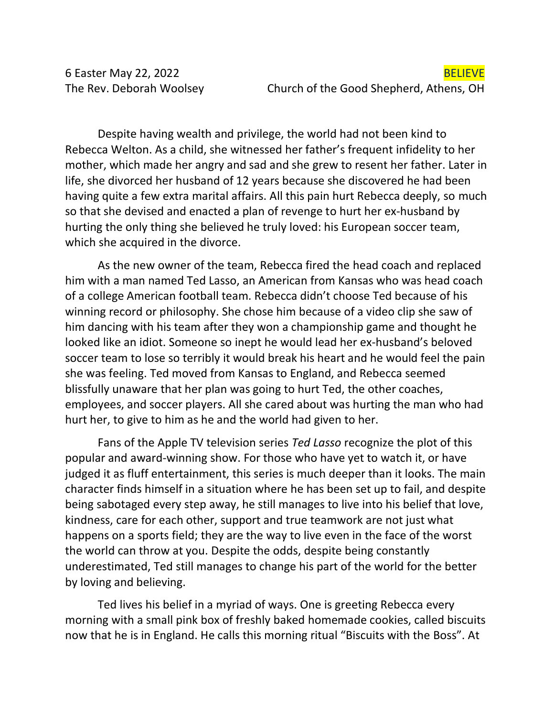Despite having wealth and privilege, the world had not been kind to Rebecca Welton. As a child, she witnessed her father's frequent infidelity to her mother, which made her angry and sad and she grew to resent her father. Later in life, she divorced her husband of 12 years because she discovered he had been having quite a few extra marital affairs. All this pain hurt Rebecca deeply, so much so that she devised and enacted a plan of revenge to hurt her ex-husband by hurting the only thing she believed he truly loved: his European soccer team, which she acquired in the divorce.

As the new owner of the team, Rebecca fired the head coach and replaced him with a man named Ted Lasso, an American from Kansas who was head coach of a college American football team. Rebecca didn't choose Ted because of his winning record or philosophy. She chose him because of a video clip she saw of him dancing with his team after they won a championship game and thought he looked like an idiot. Someone so inept he would lead her ex-husband's beloved soccer team to lose so terribly it would break his heart and he would feel the pain she was feeling. Ted moved from Kansas to England, and Rebecca seemed blissfully unaware that her plan was going to hurt Ted, the other coaches, employees, and soccer players. All she cared about was hurting the man who had hurt her, to give to him as he and the world had given to her.

Fans of the Apple TV television series *Ted Lasso* recognize the plot of this popular and award-winning show. For those who have yet to watch it, or have judged it as fluff entertainment, this series is much deeper than it looks. The main character finds himself in a situation where he has been set up to fail, and despite being sabotaged every step away, he still manages to live into his belief that love, kindness, care for each other, support and true teamwork are not just what happens on a sports field; they are the way to live even in the face of the worst the world can throw at you. Despite the odds, despite being constantly underestimated, Ted still manages to change his part of the world for the better by loving and believing.

Ted lives his belief in a myriad of ways. One is greeting Rebecca every morning with a small pink box of freshly baked homemade cookies, called biscuits now that he is in England. He calls this morning ritual "Biscuits with the Boss". At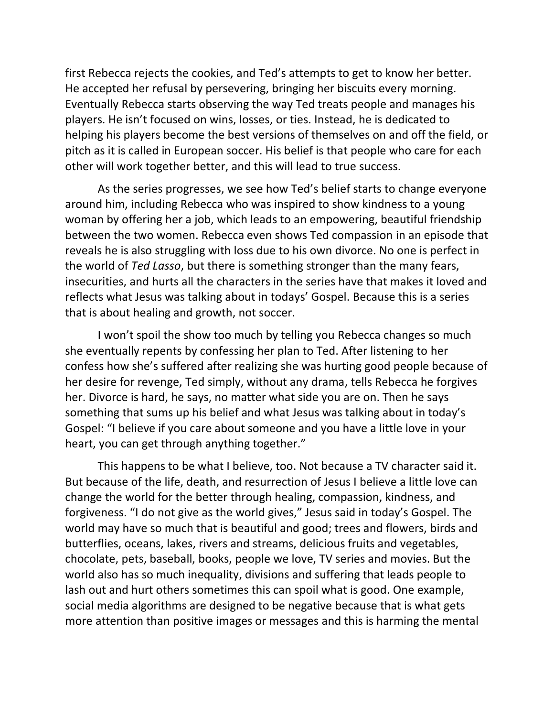first Rebecca rejects the cookies, and Ted's attempts to get to know her better. He accepted her refusal by persevering, bringing her biscuits every morning. Eventually Rebecca starts observing the way Ted treats people and manages his players. He isn't focused on wins, losses, or ties. Instead, he is dedicated to helping his players become the best versions of themselves on and off the field, or pitch as it is called in European soccer. His belief is that people who care for each other will work together better, and this will lead to true success.

As the series progresses, we see how Ted's belief starts to change everyone around him, including Rebecca who was inspired to show kindness to a young woman by offering her a job, which leads to an empowering, beautiful friendship between the two women. Rebecca even shows Ted compassion in an episode that reveals he is also struggling with loss due to his own divorce. No one is perfect in the world of *Ted Lasso*, but there is something stronger than the many fears, insecurities, and hurts all the characters in the series have that makes it loved and reflects what Jesus was talking about in todays' Gospel. Because this is a series that is about healing and growth, not soccer.

I won't spoil the show too much by telling you Rebecca changes so much she eventually repents by confessing her plan to Ted. After listening to her confess how she's suffered after realizing she was hurting good people because of her desire for revenge, Ted simply, without any drama, tells Rebecca he forgives her. Divorce is hard, he says, no matter what side you are on. Then he says something that sums up his belief and what Jesus was talking about in today's Gospel: "I believe if you care about someone and you have a little love in your heart, you can get through anything together."

This happens to be what I believe, too. Not because a TV character said it. But because of the life, death, and resurrection of Jesus I believe a little love can change the world for the better through healing, compassion, kindness, and forgiveness. "I do not give as the world gives," Jesus said in today's Gospel. The world may have so much that is beautiful and good; trees and flowers, birds and butterflies, oceans, lakes, rivers and streams, delicious fruits and vegetables, chocolate, pets, baseball, books, people we love, TV series and movies. But the world also has so much inequality, divisions and suffering that leads people to lash out and hurt others sometimes this can spoil what is good. One example, social media algorithms are designed to be negative because that is what gets more attention than positive images or messages and this is harming the mental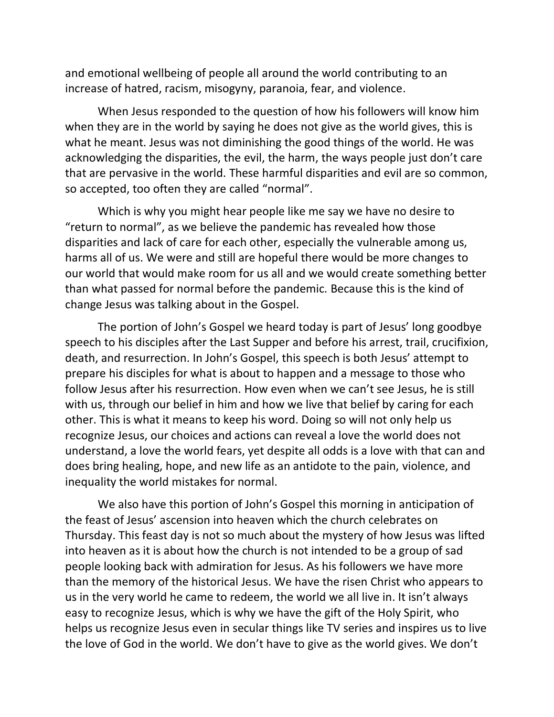and emotional wellbeing of people all around the world contributing to an increase of hatred, racism, misogyny, paranoia, fear, and violence.

When Jesus responded to the question of how his followers will know him when they are in the world by saying he does not give as the world gives, this is what he meant. Jesus was not diminishing the good things of the world. He was acknowledging the disparities, the evil, the harm, the ways people just don't care that are pervasive in the world. These harmful disparities and evil are so common, so accepted, too often they are called "normal".

Which is why you might hear people like me say we have no desire to "return to normal", as we believe the pandemic has revealed how those disparities and lack of care for each other, especially the vulnerable among us, harms all of us. We were and still are hopeful there would be more changes to our world that would make room for us all and we would create something better than what passed for normal before the pandemic. Because this is the kind of change Jesus was talking about in the Gospel.

The portion of John's Gospel we heard today is part of Jesus' long goodbye speech to his disciples after the Last Supper and before his arrest, trail, crucifixion, death, and resurrection. In John's Gospel, this speech is both Jesus' attempt to prepare his disciples for what is about to happen and a message to those who follow Jesus after his resurrection. How even when we can't see Jesus, he is still with us, through our belief in him and how we live that belief by caring for each other. This is what it means to keep his word. Doing so will not only help us recognize Jesus, our choices and actions can reveal a love the world does not understand, a love the world fears, yet despite all odds is a love with that can and does bring healing, hope, and new life as an antidote to the pain, violence, and inequality the world mistakes for normal.

We also have this portion of John's Gospel this morning in anticipation of the feast of Jesus' ascension into heaven which the church celebrates on Thursday. This feast day is not so much about the mystery of how Jesus was lifted into heaven as it is about how the church is not intended to be a group of sad people looking back with admiration for Jesus. As his followers we have more than the memory of the historical Jesus. We have the risen Christ who appears to us in the very world he came to redeem, the world we all live in. It isn't always easy to recognize Jesus, which is why we have the gift of the Holy Spirit, who helps us recognize Jesus even in secular things like TV series and inspires us to live the love of God in the world. We don't have to give as the world gives. We don't